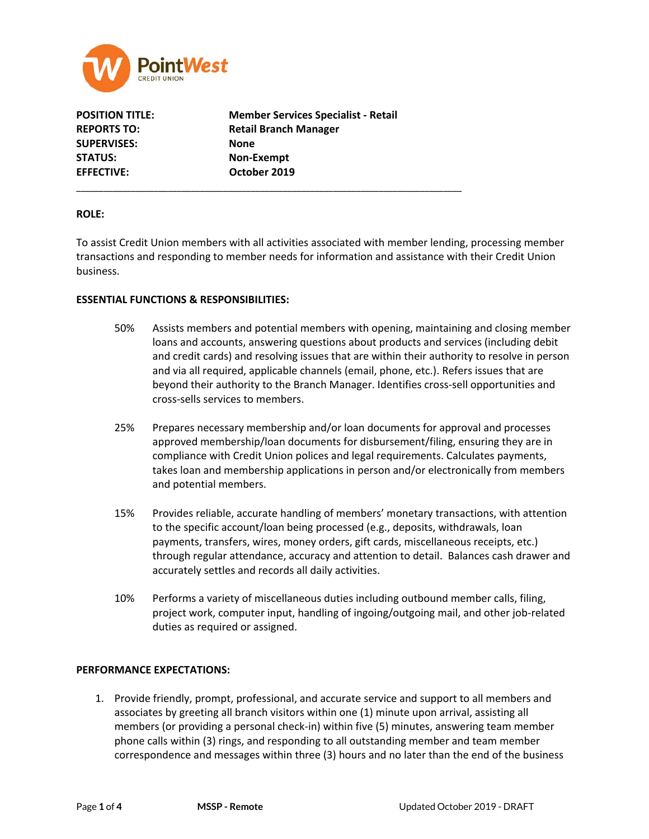

**SUPERVISES: None STATUS: Non-Exempt EFFECTIVE: October 2019**

**POSITION TITLE: Member Services Specialist - Retail REPORTS TO: Retail Branch Manager**

\_\_\_\_\_\_\_\_\_\_\_\_\_\_\_\_\_\_\_\_\_\_\_\_\_\_\_\_\_\_\_\_\_\_\_\_\_\_\_\_\_\_\_\_\_\_\_\_\_\_\_\_\_\_\_\_\_\_\_\_\_\_\_\_\_\_\_\_\_\_\_\_\_\_\_\_\_\_\_\_\_\_\_\_

## **ROLE:**

To assist Credit Union members with all activities associated with member lending, processing member transactions and responding to member needs for information and assistance with their Credit Union business.

## **ESSENTIAL FUNCTIONS & RESPONSIBILITIES:**

- 50% Assists members and potential members with opening, maintaining and closing member loans and accounts, answering questions about products and services (including debit and credit cards) and resolving issues that are within their authority to resolve in person and via all required, applicable channels (email, phone, etc.). Refers issues that are beyond their authority to the Branch Manager. Identifies cross-sell opportunities and cross-sells services to members.
- 25% Prepares necessary membership and/or loan documents for approval and processes approved membership/loan documents for disbursement/filing, ensuring they are in compliance with Credit Union polices and legal requirements. Calculates payments, takes loan and membership applications in person and/or electronically from members and potential members.
- 15% Provides reliable, accurate handling of members' monetary transactions, with attention to the specific account/loan being processed (e.g., deposits, withdrawals, loan payments, transfers, wires, money orders, gift cards, miscellaneous receipts, etc.) through regular attendance, accuracy and attention to detail. Balances cash drawer and accurately settles and records all daily activities.
- 10% Performs a variety of miscellaneous duties including outbound member calls, filing, project work, computer input, handling of ingoing/outgoing mail, and other job-related duties as required or assigned.

## **PERFORMANCE EXPECTATIONS:**

1. Provide friendly, prompt, professional, and accurate service and support to all members and associates by greeting all branch visitors within one (1) minute upon arrival, assisting all members (or providing a personal check-in) within five (5) minutes, answering team member phone calls within (3) rings, and responding to all outstanding member and team member correspondence and messages within three (3) hours and no later than the end of the business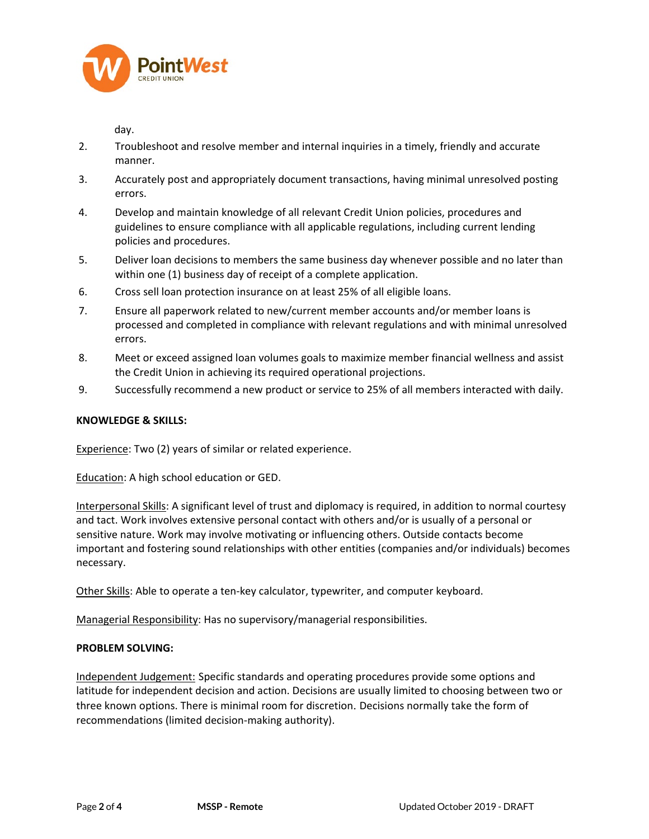

day.

- 2. Troubleshoot and resolve member and internal inquiries in a timely, friendly and accurate manner.
- 3. Accurately post and appropriately document transactions, having minimal unresolved posting errors.
- 4. Develop and maintain knowledge of all relevant Credit Union policies, procedures and guidelines to ensure compliance with all applicable regulations, including current lending policies and procedures.
- 5. Deliver loan decisions to members the same business day whenever possible and no later than within one (1) business day of receipt of a complete application.
- 6. Cross sell loan protection insurance on at least 25% of all eligible loans.
- 7. Ensure all paperwork related to new/current member accounts and/or member loans is processed and completed in compliance with relevant regulations and with minimal unresolved errors.
- 8. Meet or exceed assigned loan volumes goals to maximize member financial wellness and assist the Credit Union in achieving its required operational projections.
- 9. Successfully recommend a new product or service to 25% of all members interacted with daily.

# **KNOWLEDGE & SKILLS:**

Experience: Two (2) years of similar or related experience.

Education: A high school education or GED.

Interpersonal Skills: A significant level of trust and diplomacy is required, in addition to normal courtesy and tact. Work involves extensive personal contact with others and/or is usually of a personal or sensitive nature. Work may involve motivating or influencing others. Outside contacts become important and fostering sound relationships with other entities (companies and/or individuals) becomes necessary.

Other Skills: Able to operate a ten-key calculator, typewriter, and computer keyboard.

Managerial Responsibility: Has no supervisory/managerial responsibilities.

# **PROBLEM SOLVING:**

Independent Judgement: Specific standards and operating procedures provide some options and latitude for independent decision and action. Decisions are usually limited to choosing between two or three known options. There is minimal room for discretion. Decisions normally take the form of recommendations (limited decision-making authority).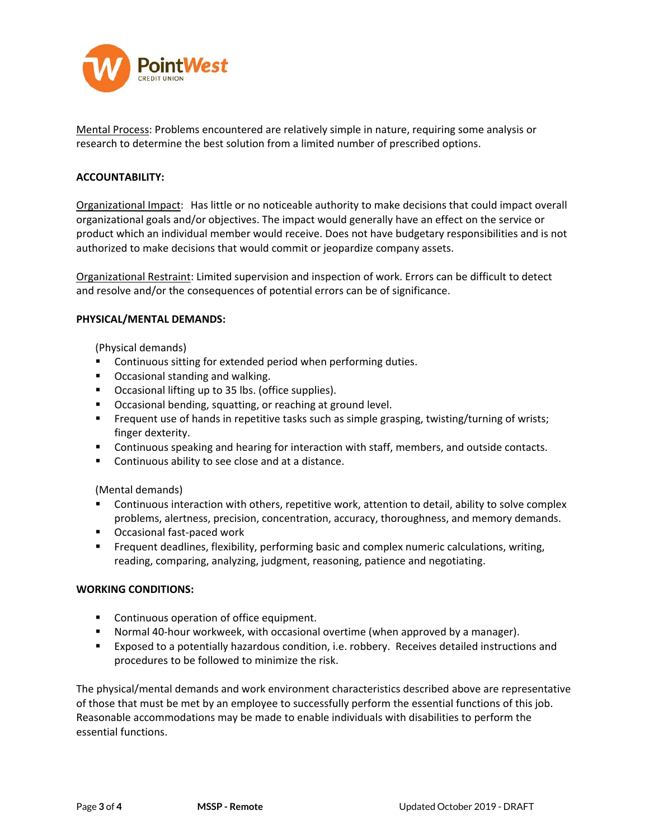

Mental Process: Problems encountered are relatively simple in nature, requiring some analysis or research to determine the best solution from a limited number of prescribed options.

## **ACCOUNTABILITY:**

Organizational Impact: Has little or no noticeable authority to make decisions that could impact overall organizational goals and/or objectives. The impact would generally have an effect on the service or product which an individual member would receive. Does not have budgetary responsibilities and is not authorized to make decisions that would commit or jeopardize company assets.

Organizational Restraint: Limited supervision and inspection of work. Errors can be difficult to detect and resolve and/or the consequences of potential errors can be of significance.

#### **PHYSICAL/MENTAL DEMANDS:**

(Physical demands)

- **EXECONTERGHTM** Continuous sitting for extended period when performing duties.
- **•** Occasional standing and walking.
- **•** Occasional lifting up to 35 lbs. (office supplies).
- Occasional bending, squatting, or reaching at ground level.
- **Frequent use of hands in repetitive tasks such as simple grasping, twisting/turning of wrists;** finger dexterity.
- **Continuous speaking and hearing for interaction with staff, members, and outside contacts.**
- **Continuous ability to see close and at a distance.**

(Mental demands)

- **Continuous interaction with others, repetitive work, attention to detail, ability to solve complex** problems, alertness, precision, concentration, accuracy, thoroughness, and memory demands.
- Occasional fast-paced work
- **Figuent deadlines, flexibility, performing basic and complex numeric calculations, writing,** reading, comparing, analyzing, judgment, reasoning, patience and negotiating.

#### **WORKING CONDITIONS:**

- **Continuous operation of office equipment.**
- Normal 40-hour workweek, with occasional overtime (when approved by a manager).
- Exposed to a potentially hazardous condition, i.e. robbery. Receives detailed instructions and procedures to be followed to minimize the risk.

The physical/mental demands and work environment characteristics described above are representative of those that must be met by an employee to successfully perform the essential functions of this job. Reasonable accommodations may be made to enable individuals with disabilities to perform the essential functions.